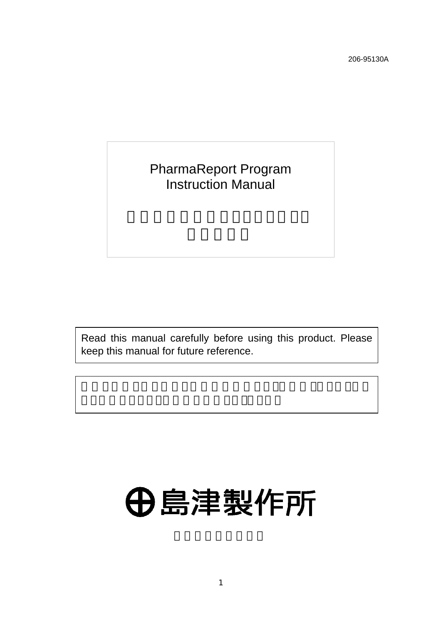206-95130A

### PharmaReport Program Instruction Manual

Read this manual carefully before using this product. Please keep this manual for future reference.

## **⊕島津製作所**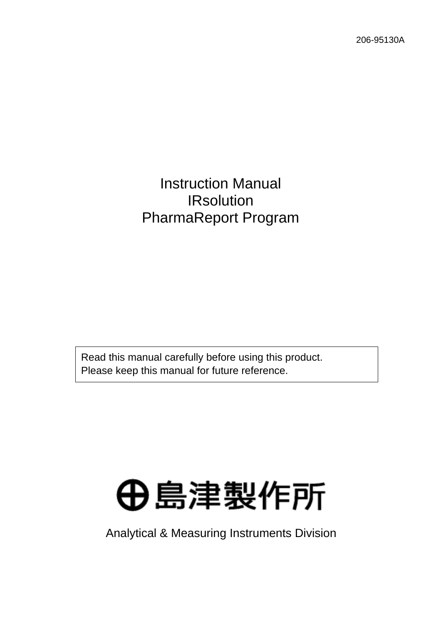206-95130A

## Instruction Manual **IRsolution** PharmaReport Program

Read this manual carefully before using this product. Please keep this manual for future reference.

# **⊕島津製作所**

Analytical & Measuring Instruments Division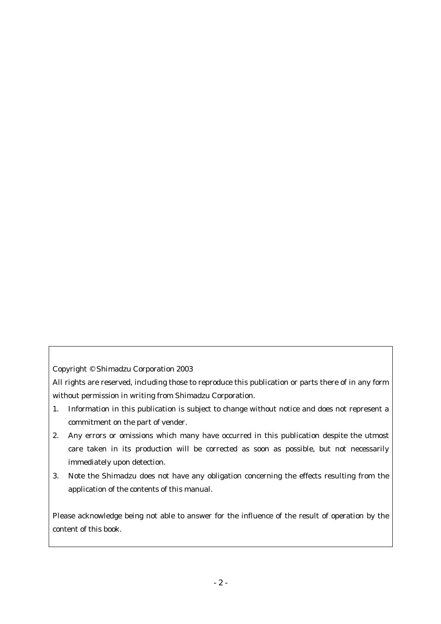Copyright © Shimadzu Corporation 2003

All rights are reserved, including those to reproduce this publication or parts there of in any form without permission in writing from Shimadzu Corporation.

- 1. Information in this publication is subject to change without notice and does not represent a commitment on the part of vender.
- 2. Any errors or omissions which many have occurred in this publication despite the utmost care taken in its production will be corrected as soon as possible, but not necessarily immediately upon detection.
- 3. Note the Shimadzu does not have any obligation concerning the effects resulting from the application of the contents of this manual.

Please acknowledge being not able to answer for the influence of the result of operation by the content of this book.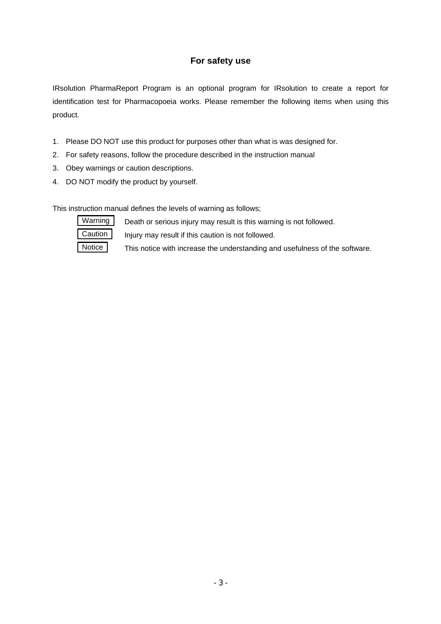### **For safety use**

IRsolution PharmaReport Program is an optional program for IRsolution to create a report for identification test for Pharmacopoeia works. Please remember the following items when using this product.

- 1. Please DO NOT use this product for purposes other than what is was designed for.
- 2. For safety reasons, follow the procedure described in the instruction manual
- 3. Obey warnings or caution descriptions.
- 4. DO NOT modify the product by yourself.

This instruction manual defines the levels of warning as follows;



Warning Death or serious injury may result is this warning is not followed.

Caution Injury may result if this caution is not followed.

Notice This notice with increase the understanding and usefulness of the software.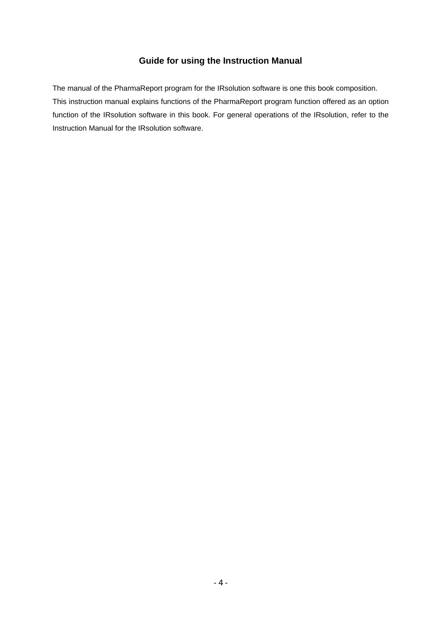### **Guide for using the Instruction Manual**

The manual of the PharmaReport program for the IRsolution software is one this book composition. This instruction manual explains functions of the PharmaReport program function offered as an option function of the IRsolution software in this book. For general operations of the IRsolution, refer to the Instruction Manual for the IRsolution software.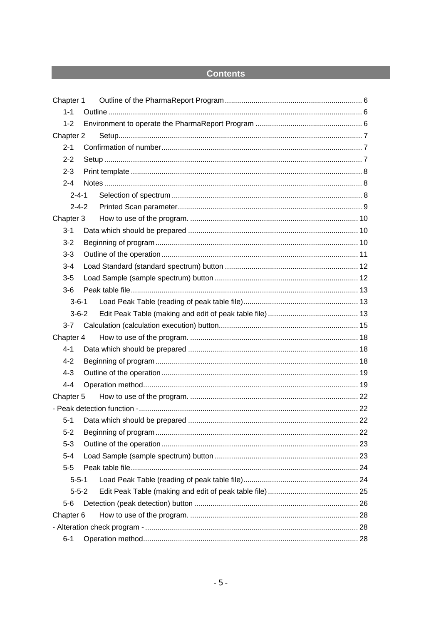### Contents

| Chapter 1   |             |  |
|-------------|-------------|--|
| $1 - 1$     |             |  |
| $1 - 2$     |             |  |
| Chapter 2   |             |  |
| $2 - 1$     |             |  |
| $2 - 2$     |             |  |
| $2 - 3$     |             |  |
| $2 - 4$     |             |  |
| $2 - 4 - 1$ |             |  |
|             | $2 - 4 - 2$ |  |
| Chapter 3   |             |  |
| $3 - 1$     |             |  |
| $3 - 2$     |             |  |
| $3-3$       |             |  |
| $3 - 4$     |             |  |
| $3 - 5$     |             |  |
| $3-6$       |             |  |
| $3 - 6 - 1$ |             |  |
|             | $3 - 6 - 2$ |  |
| $3 - 7$     |             |  |
| Chapter 4   |             |  |
| $4 - 1$     |             |  |
| $4 - 2$     |             |  |
| 4-3         |             |  |
| $4 - 4$     |             |  |
| Chapter 5   |             |  |
|             |             |  |
| 5-1         |             |  |
| $5 - 2$     |             |  |
| $5-3$       |             |  |
| $5 - 4$     |             |  |
| $5-5$       |             |  |
| $5 - 5 - 1$ |             |  |
|             | $5 - 5 - 2$ |  |
| 5-6         |             |  |
| Chapter 6   |             |  |
|             |             |  |
| $6 - 1$     |             |  |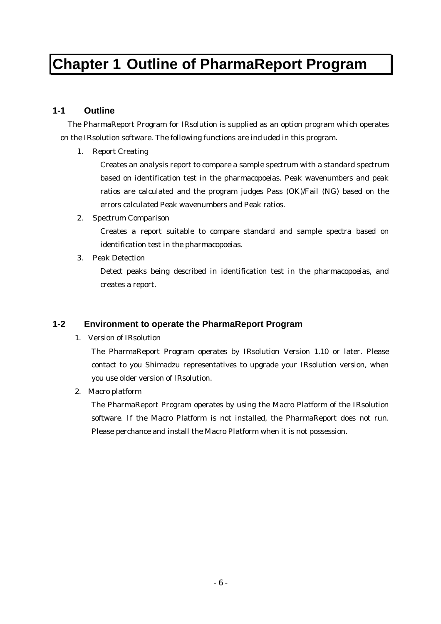## **Chapter 1 Outline of PharmaReport Program**

### **1-1 Outline**

The PharmaReport Program for IRsolution is supplied as an option program which operates on the IRsolution software. The following functions are included in this program.

1. Report Creating

Creates an analysis report to compare a sample spectrum with a standard spectrum based on identification test in the pharmacopoeias. Peak wavenumbers and peak ratios are calculated and the program judges Pass (OK)/Fail (NG) based on the errors calculated Peak wavenumbers and Peak ratios.

2. Spectrum Comparison

Creates a report suitable to compare standard and sample spectra based on identification test in the pharmacopoeias.

3. Peak Detection

Detect peaks being described in identification test in the pharmacopoeias, and creates a report.

### **1-2 Environment to operate the PharmaReport Program**

1. Version of IRsolution

The PharmaReport Program operates by IRsolution Version 1.10 or later. Please contact to you Shimadzu representatives to upgrade your IRsolution version, when you use older version of IRsolution.

2. Macro platform

The PharmaReport Program operates by using the Macro Platform of the IRsolution software. If the Macro Platform is not installed, the PharmaReport does not run. Please perchance and install the Macro Platform when it is not possession.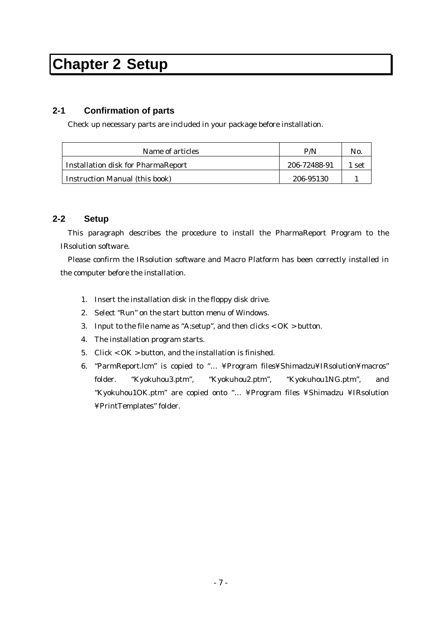## **Chapter 2 Setup**

### **2-1 Confirmation of parts**

Check up necessary parts are included in your package before installation.

| Name of articles                   | P/N          |     |
|------------------------------------|--------------|-----|
| Installation disk for PharmaReport | 206-72488-91 | set |
| Instruction Manual (this book)     | 206-95130    |     |

### **2-2 Setup**

This paragraph describes the procedure to install the PharmaReport Program to the IRsolution software.

Please confirm the IRsolution software and Macro Platform has been correctly installed in the computer before the installation.

- 1. Insert the installation disk in the floppy disk drive.
- 2. Select "Run" on the start button menu of Windows.
- 3. Input to the file name as "A:setup", and then clicks < OK > button.
- 4. The installation program starts.
- 5. Click < OK > button, and the installation is finished.
- 6. "ParmReport.lcm" is copied to "… ¥Program files¥Shimadzu¥IRsolution¥macros" folder. "Kyokuhou3.ptm", "Kyokuhou2.ptm", "Kyokuhou1NG.ptm", and "Kyokuhou1OK.ptm" are copied onto "… ¥Program files ¥Shimadzu ¥IRsolution ¥PrintTemplates" folder.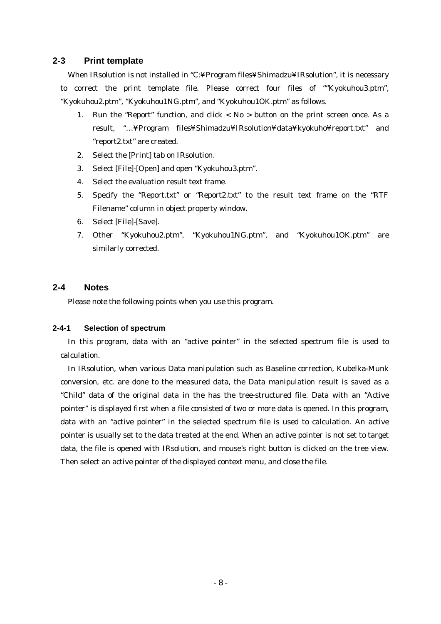### **2-3 Print template**

When IRsolution is not installed in "C:¥Program files¥Shimadzu¥IRsolution", it is necessary to correct the print template file. Please correct four files of ""Kyokuhou3.ptm", "Kyokuhou2.ptm", "Kyokuhou1NG.ptm", and "Kyokuhou1OK.ptm" as follows.

- 1. Run the "Report" function, and click < No > button on the print screen once. As a result, "…¥Program files¥Shimadzu¥IRsolution¥data¥kyokuho¥report.txt" and "report2.txt" are created.
- 2. Select the [Print] tab on IRsolution.
- 3. Select [File]-[Open] and open "Kyokuhou3.ptm".
- 4. Select the evaluation result text frame.
- 5. Specify the "Report.txt" or "Report2.txt" to the result text frame on the "RTF Filename" column in object property window.
- 6. Select [File]-[Save].
- 7. Other "Kyokuhou2.ptm", "Kyokuhou1NG.ptm", and "Kyokuhou1OK.ptm" are similarly corrected.

### **2-4 Notes**

Please note the following points when you use this program.

#### **2-4-1 Selection of spectrum**

In this program, data with an "active pointer" in the selected spectrum file is used to calculation.

In IRsolution, when various Data manipulation such as Baseline correction, Kubelka-Munk conversion, etc. are done to the measured data, the Data manipulation result is saved as a "Child" data of the original data in the has the tree-structured file. Data with an "Active pointer" is displayed first when a file consisted of two or more data is opened. In this program, data with an "active pointer" in the selected spectrum file is used to calculation. An active pointer is usually set to the data treated at the end. When an active pointer is not set to target data, the file is opened with IRsolution, and mouse's right button is clicked on the tree view. Then select an active pointer of the displayed context menu, and close the file.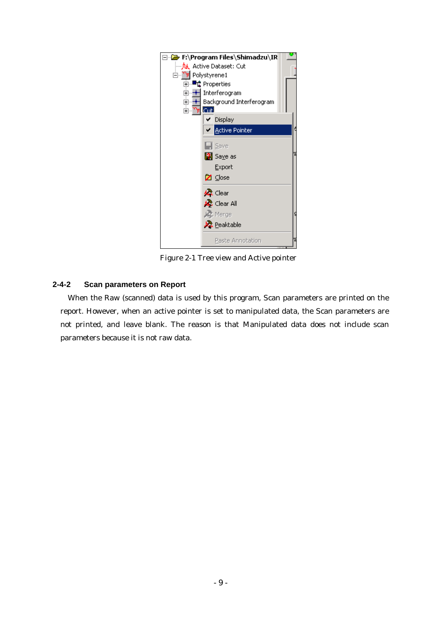

Figure 2-1 Tree view and Active pointer

### **2-4-2 Scan parameters on Report**

When the Raw (scanned) data is used by this program, Scan parameters are printed on the report. However, when an active pointer is set to manipulated data, the Scan parameters are not printed, and leave blank. The reason is that Manipulated data does not include scan parameters because it is not raw data.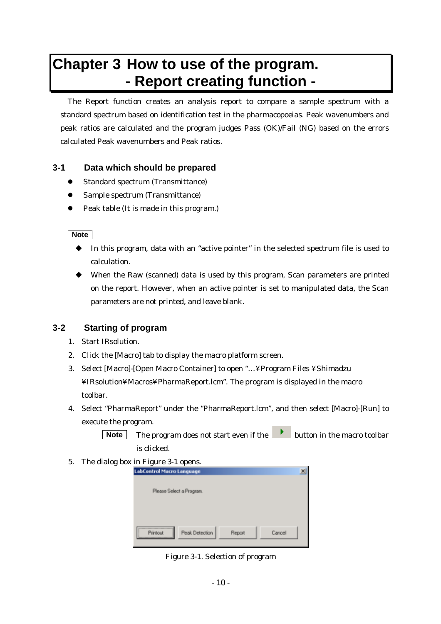## **Chapter 3 How to use of the program. - Report creating function -**

The Report function creates an analysis report to compare a sample spectrum with a standard spectrum based on identification test in the pharmacopoeias. Peak wavenumbers and peak ratios are calculated and the program judges Pass (OK)/Fail (NG) based on the errors calculated Peak wavenumbers and Peak ratios.

### **3-1 Data which should be prepared**

- Standard spectrum (Transmittance)
- Sample spectrum (Transmittance)
- Peak table (It is made in this program.)

 **Note** 

- In this program, data with an "active pointer" in the selected spectrum file is used to calculation.
- When the Raw (scanned) data is used by this program, Scan parameters are printed on the report. However, when an active pointer is set to manipulated data, the Scan parameters are not printed, and leave blank.

### **3-2 Starting of program**

- 1. Start IRsolution.
- 2. Click the [Macro] tab to display the macro platform screen.
- 3. Select [Macro]-[Open Macro Container] to open "…¥Program Files ¥Shimadzu ¥IRsolution¥Macros¥PharmaReport.lcm". The program is displayed in the macro toolbar.
- 4. Select "PharmaReport" under the "PharmaReport.lcm", and then select [Macro]-[Run] to execute the program.

**Note** The program does not start even if the **button** in the macro toolbar is clicked.

5. The dialog box in Figure 3-1 opens.

| LabControl Macro Language                      | 茜 |
|------------------------------------------------|---|
| Please Select a Program.                       |   |
|                                                |   |
| Peak Detection<br>Printout<br>Cancel<br>Report |   |

Figure 3-1. Selection of program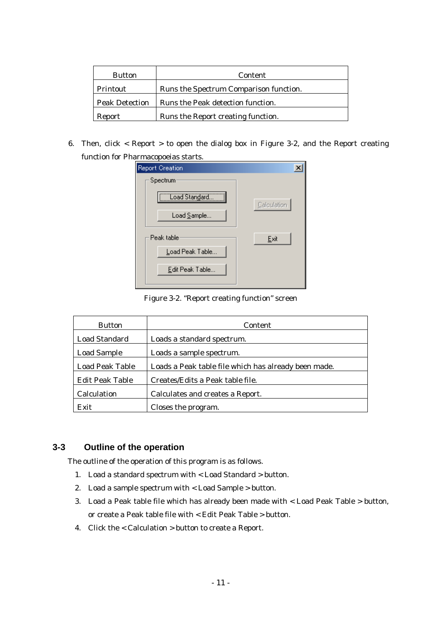| Button                | Content                                |  |  |
|-----------------------|----------------------------------------|--|--|
| Printout              | Runs the Spectrum Comparison function. |  |  |
| <b>Peak Detection</b> | Runs the Peak detection function.      |  |  |
| Report                | Runs the Report creating function.     |  |  |

6. Then, click < Report > to open the dialog box in Figure 3-2, and the Report creating function for Pharmacopoeias starts.

| <b>Report Creation</b>                           |             |
|--------------------------------------------------|-------------|
| Spectrum<br>Load Standard<br>Load Sample         | Calculation |
| Peak table<br>Load Peak Table<br>Edit Peak Table | Exit        |

Figure 3-2. "Report creating function" screen

| <b>Button</b>          | Content                                              |
|------------------------|------------------------------------------------------|
| <b>Load Standard</b>   | Loads a standard spectrum.                           |
| <b>Load Sample</b>     | Loads a sample spectrum.                             |
| <b>Load Peak Table</b> | Loads a Peak table file which has already been made. |
| <b>Edit Peak Table</b> | Creates/Edits a Peak table file.                     |
| Calculation            | Calculates and creates a Report.                     |
| Exit                   | Closes the program.                                  |

### **3-3 Outline of the operation**

The outline of the operation of this program is as follows.

- 1. Load a standard spectrum with < Load Standard > button.
- 2. Load a sample spectrum with < Load Sample > button.
- 3. Load a Peak table file which has already been made with < Load Peak Table > button, or create a Peak table file with < Edit Peak Table > button.
- 4. Click the < Calculation > button to create a Report.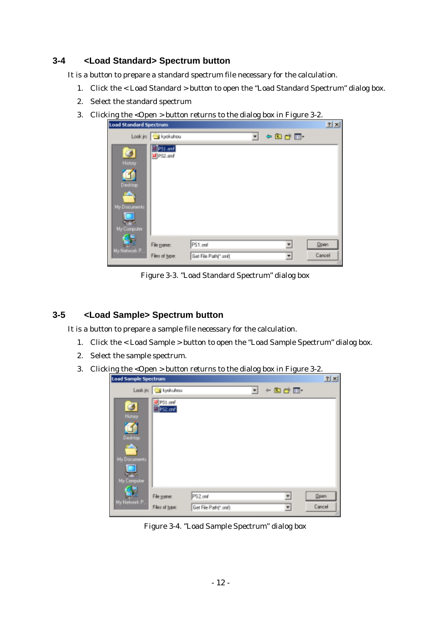### **3-4 <Load Standard> Spectrum button**

It is a button to prepare a standard spectrum file necessary for the calculation.

- 1. Click the < Load Standard > button to open the "Load Standard Spectrum" dialog box.
- 2. Select the standard spectrum
- 3. Clicking the <Open > button returns to the dialog box in Figure 3-2.

| <b>Load Standard Spectrum</b>  |                                  |                                 |                                     | $2 \times$            |
|--------------------------------|----------------------------------|---------------------------------|-------------------------------------|-----------------------|
|                                | Look jn: Skyokuhou               |                                 | $\div$ 0 $\leftrightarrow$ 0 $\div$ |                       |
| 3<br><b>History</b><br>Desktop | P51.snf<br><sup>18</sup> PS2.smf |                                 |                                     |                       |
| My Documents<br>My Computer    |                                  |                                 |                                     |                       |
| My Network P.,                 | File name:<br>Files of type:     | PS1.onf<br>Get File Path(".sml) | 회                                   | <b>Dpen</b><br>Cancel |

Figure 3-3. "Load Standard Spectrum" dialog box

### **3-5 <Load Sample> Spectrum button**

It is a button to prepare a sample file necessary for the calculation.

- 1. Click the < Load Sample > button to open the "Load Sample Spectrum" dialog box.
- 2. Select the sample spectrum.
- 3. Clicking the <Open > button returns to the dialog box in Figure 3-2.

| <b>Load Sample Spectrum</b>                                               |                                    |                      |    |        | 2 X         |
|---------------------------------------------------------------------------|------------------------------------|----------------------|----|--------|-------------|
|                                                                           | Look in: Gi kyokuhou               |                      | ≖∣ | $+BAB$ |             |
| S<br>History<br>Ø<br>Deaktop<br><b>ROS</b><br>My Documents<br>My Computer | <sup>25</sup> P51.smf<br># Ps2.smf |                      |    |        |             |
|                                                                           | File name:                         | PS2.onf              |    |        | <b>Open</b> |
| My Network P.                                                             | Files of type:                     | Get File Path(".cmf) |    |        | Cancel      |

Figure 3-4. "Load Sample Spectrum" dialog box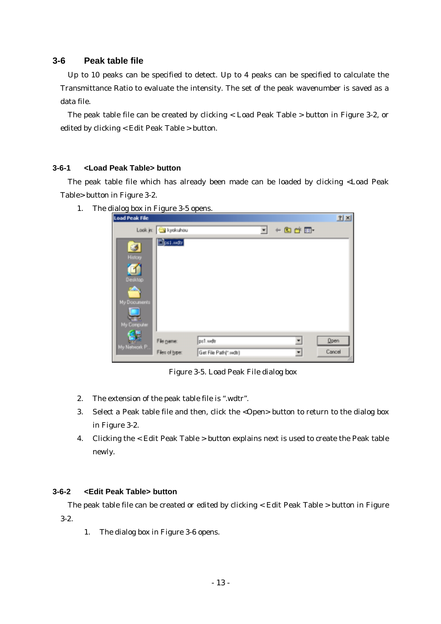### **3-6 Peak table file**

Up to 10 peaks can be specified to detect. Up to 4 peaks can be specified to calculate the Transmittance Ratio to evaluate the intensity. The set of the peak wavenumber is saved as a data file.

The peak table file can be created by clicking < Load Peak Table > button in Figure 3-2, or edited by clicking < Edit Peak Table > button.

#### **3-6-1 <Load Peak Table> button**

The peak table file which has already been made can be loaded by clicking <Load Peak Table> button in Figure 3-2.

1. The dialog box in Figure 3-5 opens.

| <b>Load Peak File</b>                                                    |                    |                       |                          |      | $2 \times$ |
|--------------------------------------------------------------------------|--------------------|-----------------------|--------------------------|------|------------|
|                                                                          | Look in: Skyokuhou |                       | $\overline{\phantom{a}}$ | 十国首国 |            |
| B<br>History<br>Ø<br>Desktop<br>œ.<br>My Documents<br><b>My Computer</b> | Dos1.wdtr          |                       |                          |      |            |
| My Network P                                                             | File name:         | ps1.wdtr              |                          |      | Open       |
|                                                                          | Files of type:     | Get File Path(".wdtr) |                          |      | Cancel     |

Figure 3-5. Load Peak File dialog box

- 2. The extension of the peak table file is ".wdtr".
- 3. Select a Peak table file and then, click the <Open> button to return to the dialog box in Figure 3-2.
- 4. Clicking the < Edit Peak Table > button explains next is used to create the Peak table newly.

### **3-6-2 <Edit Peak Table> button**

The peak table file can be created or edited by clicking < Edit Peak Table > button in Figure 3-2.

1. The dialog box in Figure 3-6 opens.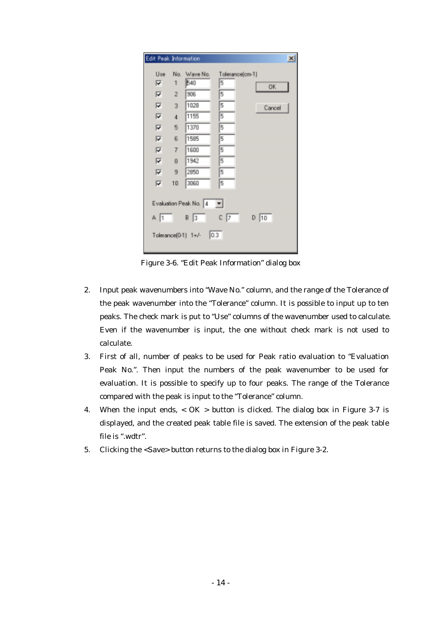| Edit Peak Information |                |                                                                     | $\vert x \vert$                   |
|-----------------------|----------------|---------------------------------------------------------------------|-----------------------------------|
| Use<br>⊽              | 1              | No. Wave No.<br>540                                                 | Tolerance(cm-1)<br>5<br><b>DK</b> |
| ⊽                     | $\bar{z}$      | 906                                                                 | 5                                 |
| ⊽                     | $\bar{3}$      | 1028                                                                | 5<br>Cancel                       |
| ⊽                     | $\ddot{4}$     | 1155                                                                | 5                                 |
| ⊽                     | 5              | 1370                                                                | 5                                 |
| ⊽                     | 6              | 1585                                                                | 5                                 |
| ⊽                     | $\overline{t}$ | 1600                                                                | 5                                 |
| ⊽                     | 8              | 1942                                                                | 5                                 |
| ⊽                     | 9              | 2850                                                                | 5                                 |
| ⊽                     | 10             | 3060                                                                | 5                                 |
| A 1                   |                | Evaluation Peak No. $\boxed{4}$<br>$B$ 3<br>Tolerance(0-1) 1+/- 0.3 | $C$ $ 7$<br>$D$ 10                |

Figure 3-6. "Edit Peak Information" dialog box

- 2. Input peak wavenumbers into "Wave No." column, and the range of the Tolerance of the peak wavenumber into the "Tolerance" column. It is possible to input up to ten peaks. The check mark is put to "Use" columns of the wavenumber used to calculate. Even if the wavenumber is input, the one without check mark is not used to calculate.
- 3. First of all, number of peaks to be used for Peak ratio evaluation to "Evaluation Peak No.". Then input the numbers of the peak wavenumber to be used for evaluation. It is possible to specify up to four peaks. The range of the Tolerance compared with the peak is input to the "Tolerance" column.
- 4. When the input ends, < OK > button is clicked. The dialog box in Figure 3-7 is displayed, and the created peak table file is saved. The extension of the peak table file is ".wdtr".
- 5. Clicking the <Save> button returns to the dialog box in Figure 3-2.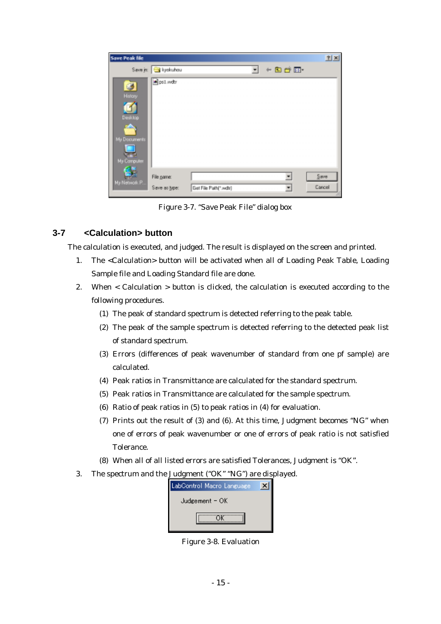| Save Peak file                       |                             |                       |              |             | 2 X            |
|--------------------------------------|-----------------------------|-----------------------|--------------|-------------|----------------|
|                                      | Save jn: Skyokuhou          |                       | $\mathbf{r}$ | $+$ D of E- |                |
| 3<br>History                         | sil ps1.wdtr                |                       |              |             |                |
| Desktop<br><u>ге</u><br>My Documents |                             |                       |              |             |                |
| My Computer                          |                             |                       |              |             |                |
| My Network P                         | File pame:<br>Save as type: | Get File Path('.wdtr) |              |             | Save<br>Cancel |

Figure 3-7. "Save Peak File" dialog box

### **3-7 <Calculation> button**

The calculation is executed, and judged. The result is displayed on the screen and printed.

- 1. The <Calculation> button will be activated when all of Loading Peak Table, Loading Sample file and Loading Standard file are done.
- 2. When < Calculation > button is clicked, the calculation is executed according to the following procedures.
	- (1) The peak of standard spectrum is detected referring to the peak table.
	- (2) The peak of the sample spectrum is detected referring to the detected peak list of standard spectrum.
	- (3) Errors (differences of peak wavenumber of standard from one pf sample) are calculated.
	- (4) Peak ratios in Transmittance are calculated for the standard spectrum.
	- (5) Peak ratios in Transmittance are calculated for the sample spectrum.
	- (6) Ratio of peak ratios in (5) to peak ratios in (4) for evaluation.
	- (7) Prints out the result of (3) and (6). At this time, Judgment becomes "NG" when one of errors of peak wavenumber or one of errors of peak ratio is not satisfied Tolerance.
	- (8) When all of all listed errors are satisfied Tolerances, Judgment is "OK".
- 3. The spectrum and the Judgment ("OK" "NG") are displayed.

Figure 3-8. Evaluation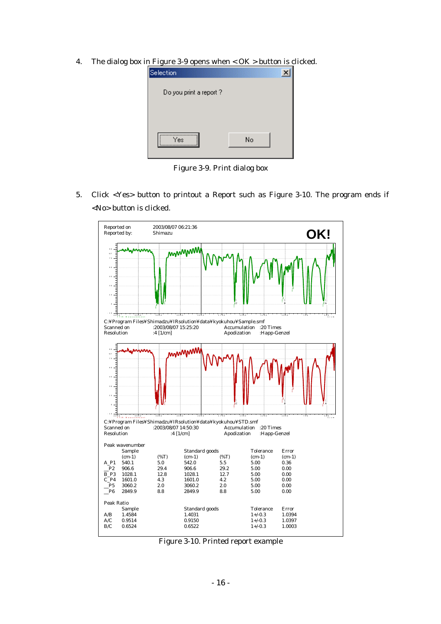4. The dialog box in Figure 3-9 opens when < OK > button is clicked.



Figure 3-9. Print dialog box

5. Click <Yes> button to printout a Report such as Figure 3-10. The program ends if <No> button is clicked.



Figure 3-10. Printed report example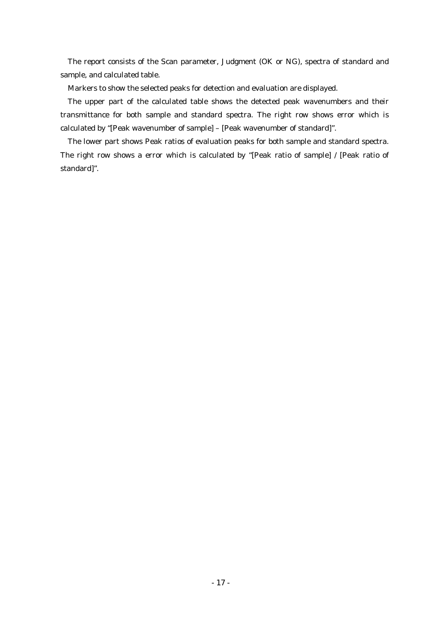The report consists of the Scan parameter, Judgment (OK or NG), spectra of standard and sample, and calculated table.

Markers to show the selected peaks for detection and evaluation are displayed.

The upper part of the calculated table shows the detected peak wavenumbers and their transmittance for both sample and standard spectra. The right row shows error which is calculated by "[Peak wavenumber of sample] – [Peak wavenumber of standard]".

The lower part shows Peak ratios of evaluation peaks for both sample and standard spectra. The right row shows a error which is calculated by "[Peak ratio of sample] / [Peak ratio of standard]".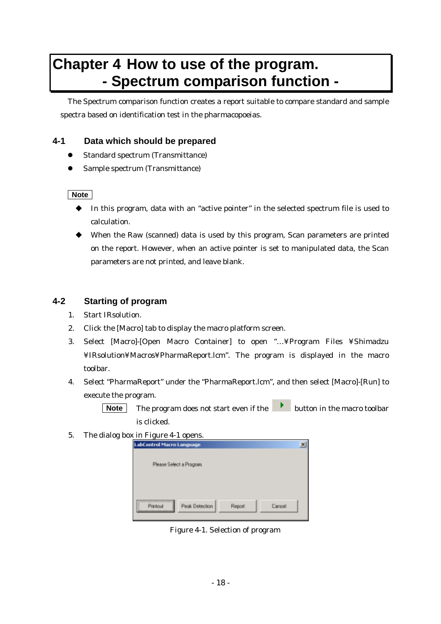## **Chapter 4 How to use of the program. - Spectrum comparison function -**

The Spectrum comparison function creates a report suitable to compare standard and sample spectra based on identification test in the pharmacopoeias.

### **4-1 Data which should be prepared**

- Standard spectrum (Transmittance)
- z Sample spectrum (Transmittance)

 **Note** 

- In this program, data with an "active pointer" in the selected spectrum file is used to calculation.
- When the Raw (scanned) data is used by this program, Scan parameters are printed on the report. However, when an active pointer is set to manipulated data, the Scan parameters are not printed, and leave blank.

### **4-2 Starting of program**

- 1. Start IRsolution.
- 2. Click the [Macro] tab to display the macro platform screen.
- 3. Select [Macro]-[Open Macro Container] to open "…¥Program Files ¥Shimadzu ¥IRsolution¥Macros¥PharmaReport.lcm". The program is displayed in the macro toolbar.
- 4. Select "PharmaReport" under the "PharmaReport.lcm", and then select [Macro]-[Run] to execute the program.
	- **Note** The program does not start even if the **button** in the macro toolbar is clicked.
- 5. The dialog box in Figure 4-1 opens.

| <b>LabControl Macro Language</b>  |        | ×      |
|-----------------------------------|--------|--------|
| Please Select a Program.          |        |        |
|                                   |        |        |
| Peak Detection<br><b>Printout</b> | Report | Cancel |

Figure 4-1. Selection of program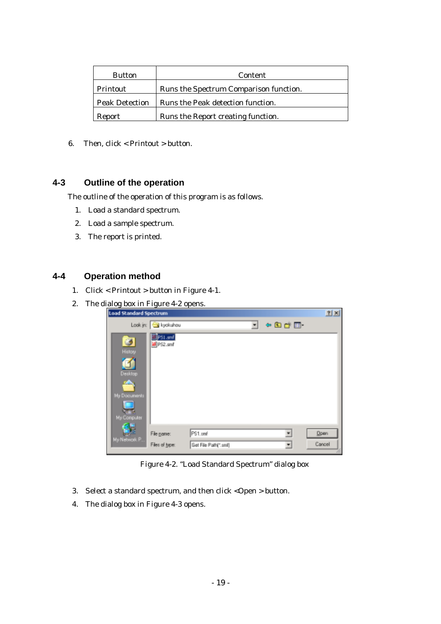| <b>Button</b>         | <b>Content</b>                         |
|-----------------------|----------------------------------------|
| <b>Printout</b>       | Runs the Spectrum Comparison function. |
| <b>Peak Detection</b> | Runs the Peak detection function.      |
| Report                | Runs the Report creating function.     |

6. Then, click < Printout > button.

### **4-3 Outline of the operation**

The outline of the operation of this program is as follows.

- 1. Load a standard spectrum.
- 2. Load a sample spectrum.
- 3. The report is printed.

### **4-4 Operation method**

- 1. Click < Printout > button in Figure 4-1.
- 2. The dialog box in Figure 4-2 opens.

| <b>Load Standard Spectrum</b>               |                                  |                      |                                        | 2x     |
|---------------------------------------------|----------------------------------|----------------------|----------------------------------------|--------|
|                                             | Look jn: Skyokuhou               |                      | $\Leftrightarrow$ 0 $C$ 0 $\heartsuit$ |        |
| $\bullet$<br><b>History</b><br>Ø<br>Decktop | P51.smF<br><sup>18</sup> PS2.smf |                      |                                        |        |
| My Documents                                |                                  |                      |                                        |        |
| <b>My Computer</b>                          |                                  |                      |                                        |        |
| My Network P.                               | File nome:                       | PS1.onf              |                                        | Dpen   |
|                                             | Files of type:                   | Get File Path(".sml) |                                        | Cancel |

Figure 4-2. "Load Standard Spectrum" dialog box

- 3. Select a standard spectrum, and then click <Open > button.
- 4. The dialog box in Figure 4-3 opens.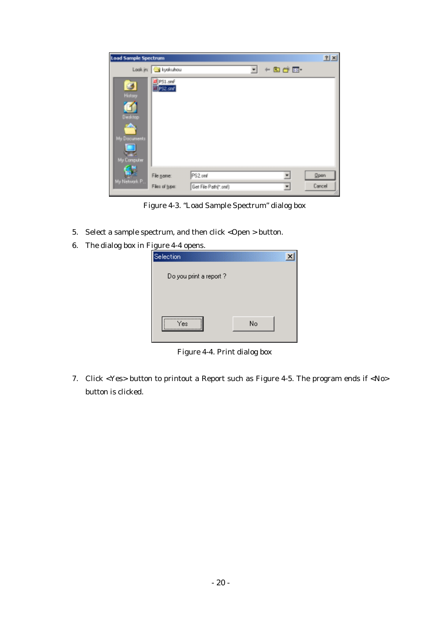| <b>Load Sample Spectrum</b> |                         |                      |   |       | $2 \times$  |
|-----------------------------|-------------------------|----------------------|---|-------|-------------|
|                             | Look in: Gi kyokuhou    |                      | ▾ | +国首国· |             |
| 3<br>History<br>Decktop     | 25 P51.smf<br>E PS2.sml |                      |   |       |             |
| My Documents<br>My Computer | File name:              | PS2 unf              |   |       | <b>Open</b> |
| My Network P.               | Files of type:          | Get File Path(*.cmf) |   | ۳     | Cancel      |

Figure 4-3. "Load Sample Spectrum" dialog box

- 5. Select a sample spectrum, and then click <Open > button.
- 6. The dialog box in Figure 4-4 opens.

| Selection               |    | × |
|-------------------------|----|---|
| Do you print a report ? |    |   |
|                         |    |   |
|                         |    |   |
| Yes                     | No |   |

Figure 4-4. Print dialog box

7. Click <Yes> button to printout a Report such as Figure 4-5. The program ends if <No> button is clicked.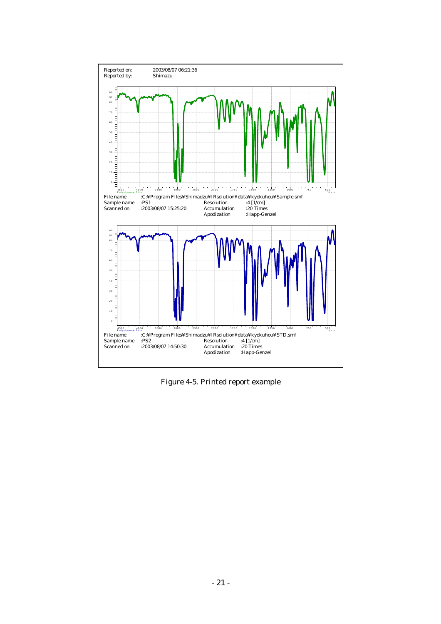

Figure 4-5. Printed report example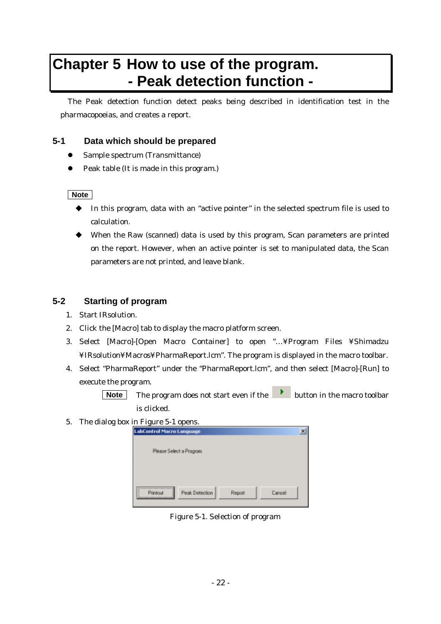## **Chapter 5 How to use of the program. - Peak detection function -**

The Peak detection function detect peaks being described in identification test in the pharmacopoeias, and creates a report.

### **5-1 Data which should be prepared**

- z Sample spectrum (Transmittance)
- Peak table (It is made in this program.)

 **Note** 

- In this program, data with an "active pointer" in the selected spectrum file is used to calculation.
- When the Raw (scanned) data is used by this program, Scan parameters are printed on the report. However, when an active pointer is set to manipulated data, the Scan parameters are not printed, and leave blank.

### **5-2 Starting of program**

- 1. Start IRsolution.
- 2. Click the [Macro] tab to display the macro platform screen.
- 3. Select [Macro]-[Open Macro Container] to open "…¥Program Files ¥Shimadzu ¥IRsolution¥Macros¥PharmaReport.lcm". The program is displayed in the macro toolbar.
- 4. Select "PharmaReport" under the "PharmaReport.lcm", and then select [Macro]-[Run] to execute the program.

**Note** The program does not start even if the **button** in the macro toolbar is clicked.

5. The dialog box in Figure 5-1 opens.

| LabControl Macro Language                      |  |
|------------------------------------------------|--|
| Please Select a Program.                       |  |
|                                                |  |
|                                                |  |
| Peak Detection<br>Printout<br>Cancel<br>Report |  |

Figure 5-1. Selection of program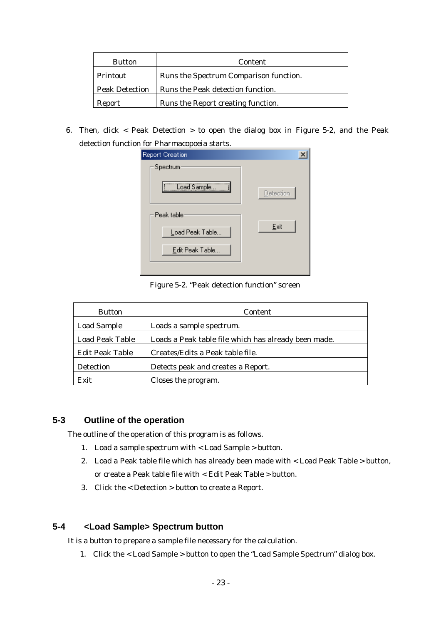| <b>Button</b>         | Content                                |
|-----------------------|----------------------------------------|
| Printout              | Runs the Spectrum Comparison function. |
| <b>Peak Detection</b> | Runs the Peak detection function.      |
| Report                | Runs the Report creating function.     |

6. Then, click < Peak Detection > to open the dialog box in Figure 5-2, and the Peak detection function for Pharmacopoeia starts.

| <b>Report Creation</b> |           |
|------------------------|-----------|
| Spectrum               |           |
| Load Sample            | Detection |
| Peak table             |           |
| Load Peak Table        | Exit      |
| Edit Peak Table        |           |
|                        |           |

Figure 5-2. "Peak detection function" screen

| <b>Button</b>   | Content                                              |
|-----------------|------------------------------------------------------|
| Load Sample     | Loads a sample spectrum.                             |
| Load Peak Table | Loads a Peak table file which has already been made. |
| Edit Peak Table | Creates/Edits a Peak table file.                     |
| Detection       | Detects peak and creates a Report.                   |
| Exit            | Closes the program.                                  |

### **5-3 Outline of the operation**

The outline of the operation of this program is as follows.

- 1. Load a sample spectrum with < Load Sample > button.
- 2. Load a Peak table file which has already been made with < Load Peak Table > button, or create a Peak table file with < Edit Peak Table > button.
- 3. Click the < Detection > button to create a Report.

### **5-4 <Load Sample> Spectrum button**

It is a button to prepare a sample file necessary for the calculation.

1. Click the < Load Sample > button to open the "Load Sample Spectrum" dialog box.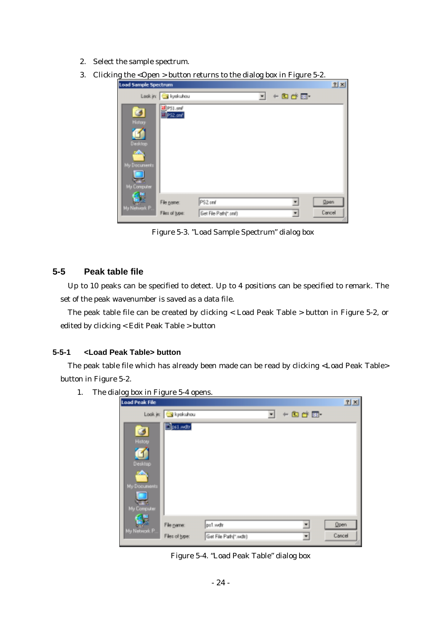- 2. Select the sample spectrum.
- 3. Clicking the <Open > button returns to the dialog box in Figure 5-2.

| <b>Load Sample Spectrum</b>                                   |                         |                      |   |       | 2 X         |
|---------------------------------------------------------------|-------------------------|----------------------|---|-------|-------------|
|                                                               | Look in: Gi kyokuhou    |                      | ≖ | +国首国· |             |
| 3<br>History<br>Deaktop<br>zo.<br>My Documents<br>My Computer | 1 P51.smf<br>El PS2.smf |                      |   |       |             |
|                                                               | File name:              | PS2 mf               |   |       | <b>Open</b> |
| My Network P.                                                 | Files of type:          | Get File Path(*.cmf) |   |       | Cancel      |

Figure 5-3. "Load Sample Spectrum" dialog box

### **5-5 Peak table file**

Up to 10 peaks can be specified to detect. Up to 4 positions can be specified to remark. The set of the peak wavenumber is saved as a data file.

The peak table file can be created by clicking < Load Peak Table > button in Figure 5-2, or edited by clicking < Edit Peak Table > button

### **5-5-1 <Load Peak Table> button**

The peak table file which has already been made can be read by clicking <Load Peak Table> button in Figure 5-2.

1. The dialog box in Figure 5-4 opens.

| <b>Load Peak File</b> |                   |                       |                          |       | 회회     |
|-----------------------|-------------------|-----------------------|--------------------------|-------|--------|
|                       | Look in: Byokuhou |                       | $\overline{\phantom{a}}$ | - 四百四 |        |
| ø                     | ps1.wdtr          |                       |                          |       |        |
| History               |                   |                       |                          |       |        |
| Ø                     |                   |                       |                          |       |        |
| Desktop               |                   |                       |                          |       |        |
| <b>DOM:</b>           |                   |                       |                          |       |        |
| My Documents          |                   |                       |                          |       |        |
| My Computer           |                   |                       |                          |       |        |
|                       |                   |                       |                          |       |        |
| My Network P.         | File name:        | ps1.wdtr              |                          |       | Open   |
|                       | Files of type:    | Get File Path(".wdtr) |                          |       | Cancel |

Figure 5-4. "Load Peak Table" dialog box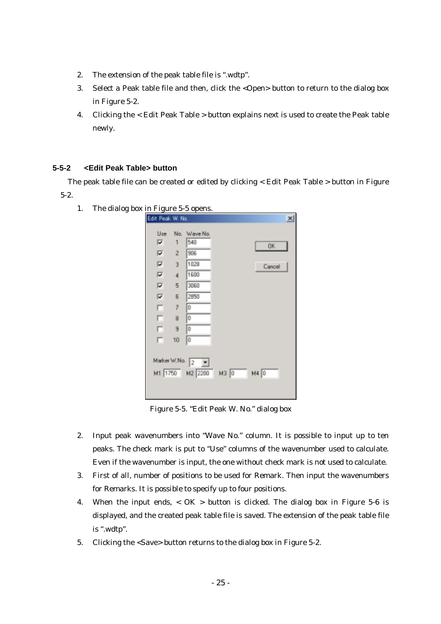- 2. The extension of the peak table file is ".wdtp".
- 3. Select a Peak table file and then, click the <Open> button to return to the dialog box in Figure 5-2.
- 4. Clicking the < Edit Peak Table > button explains next is used to create the Peak table newly.

#### **5-5-2 <Edit Peak Table> button**

The peak table file can be created or edited by clicking < Edit Peak Table > button in Figure 5-2.

1. The dialog box in Figure 5-5 opens.

| Edit Peak W. No. |                |                                   |                | $\vert x \vert$   |
|------------------|----------------|-----------------------------------|----------------|-------------------|
| Use<br> ⊽        | No.<br>1       | Wave No.<br>540                   |                |                   |
| ╔                | $\overline{2}$ | 906                               |                | 0K                |
| ⊽                | 3              | 1028                              |                | Cancel            |
| ₽                | 4              | 1600                              |                |                   |
| 罓                | 5              | 3060                              |                |                   |
| ☞                | 6              | 2850                              |                |                   |
| п                | 7              | Ü                                 |                |                   |
| п                | 8              | 0                                 |                |                   |
| п                | 9              | Ü                                 |                |                   |
| п                | 10             | O                                 |                |                   |
| Marker W.No. 2   |                | $\blacksquare$<br>M1 1750 M2 2200 | мз $\boxed{0}$ | $M4$ <sup>0</sup> |

Figure 5-5. "Edit Peak W. No." dialog box

- 2. Input peak wavenumbers into "Wave No." column. It is possible to input up to ten peaks. The check mark is put to "Use" columns of the wavenumber used to calculate. Even if the wavenumber is input, the one without check mark is not used to calculate.
- 3. First of all, number of positions to be used for Remark. Then input the wavenumbers for Remarks. It is possible to specify up to four positions.
- 4. When the input ends, < OK > button is clicked. The dialog box in Figure 5-6 is displayed, and the created peak table file is saved. The extension of the peak table file is ".wdtp".
- 5. Clicking the <Save> button returns to the dialog box in Figure 5-2.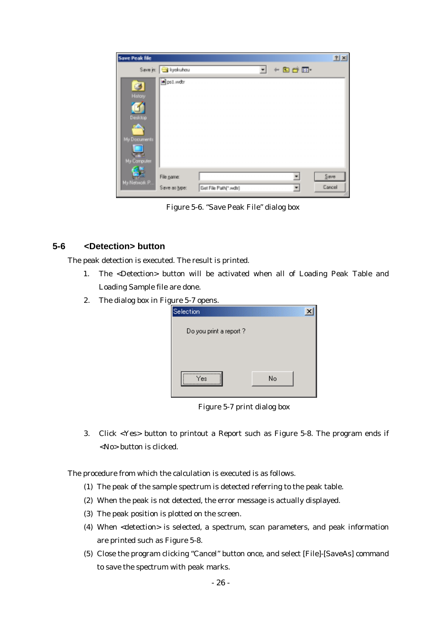| Save Peak file              |                    |                       |                  | 2 X    |
|-----------------------------|--------------------|-----------------------|------------------|--------|
|                             | Save jn: Skyokuhou |                       | $+$ Define<br>▾▏ |        |
| Ø<br>History                | si ps1.wdtr        |                       |                  |        |
| Desktop                     |                    |                       |                  |        |
| <b>DOM:</b><br>My Documents |                    |                       |                  |        |
| My Computer                 |                    |                       |                  |        |
| My Network P                | File pame:         |                       | ▾                | Save   |
|                             | Save as type:      | Get File Path('.wdtr) |                  | Cancel |

Figure 5-6. "Save Peak File" dialog box

### **5-6 <Detection> button**

The peak detection is executed. The result is printed.

- 1. The <Detection> button will be activated when all of Loading Peak Table and Loading Sample file are done.
- 2. The dialog box in Figure 5-7 opens.

| Selection               |    |  |
|-------------------------|----|--|
| Do you print a report ? |    |  |
|                         |    |  |
|                         |    |  |
| Yes                     | No |  |
|                         |    |  |

Figure 5-7 print dialog box

3. Click <Yes> button to printout a Report such as Figure 5-8. The program ends if <No> button is clicked.

The procedure from which the calculation is executed is as follows.

- (1) The peak of the sample spectrum is detected referring to the peak table.
- (2) When the peak is not detected, the error message is actually displayed.
- (3) The peak position is plotted on the screen.
- (4) When <detection> is selected, a spectrum, scan parameters, and peak information are printed such as Figure 5-8.
- (5) Close the program clicking "Cancel" button once, and select [File]-[SaveAs] command to save the spectrum with peak marks.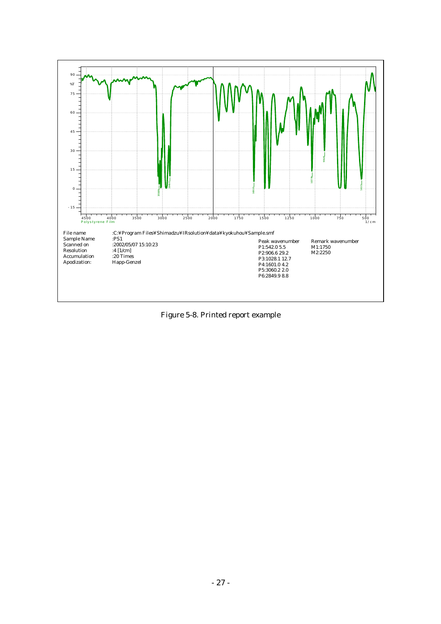

Figure 5-8. Printed report example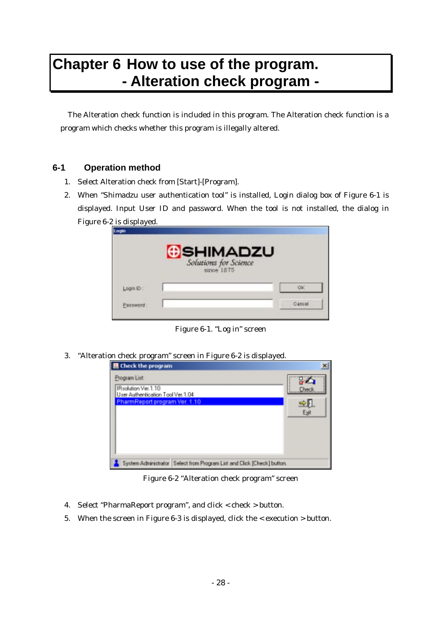### **Chapter 6 How to use of the program. - Alteration check program -**

The Alteration check function is included in this program. The Alteration check function is a program which checks whether this program is illegally altered.

### **6-1 Operation method**

- 1. Select Alteration check from [Start]-[Program].
- 2. When "Shimadzu user authentication tool" is installed, Login dialog box of Figure 6-1 is displayed. Input User ID and password. When the tool is not installed, the dialog in Figure 6-2 is displayed.

|           | <b>OSHIMADZU</b>                     |
|-----------|--------------------------------------|
|           | Solutions for Science<br>strice 1875 |
|           |                                      |
| Login ID: |                                      |

Figure 6-1. "Log in" screen

3. "Alteration check program" screen in Figure 6-2 is displayed.



Figure 6-2 "Alteration check program" screen

- 4. Select "PharmaReport program", and click < check > button.
- 5. When the screen in Figure 6-3 is displayed, click the < execution > button.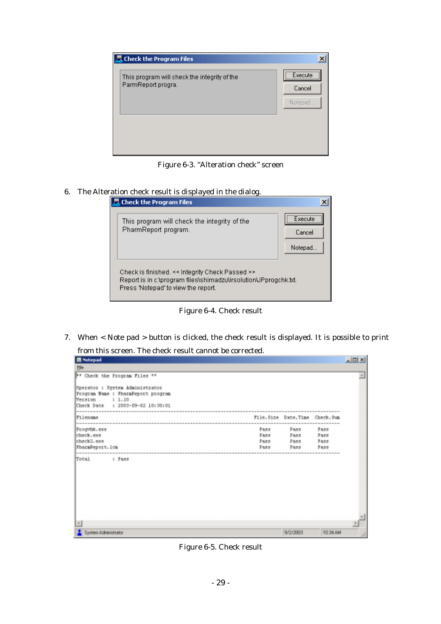| Check the Program Files                                            | ×                                    |
|--------------------------------------------------------------------|--------------------------------------|
| This program will check the integrity of the<br>ParmReport progra. | <br>Execute<br><br>Cancel<br>Notepad |

Figure 6-3. "Alteration check" screen

6. The Alteration check result is displayed in the dialog.

| <b>Check the Program Files</b>                                                                                                                             |                               |
|------------------------------------------------------------------------------------------------------------------------------------------------------------|-------------------------------|
| This program will check the integrity of the<br>PharmReport program.                                                                                       | F xecute<br>Cancel<br>Notepad |
| Check is finished. << Integrity Check Passed >><br>Report is in c:\program files\shimadzu\irsolution\JPprogchk.txt.<br>Press 'Notepad' to view the report. |                               |

Figure 6-4. Check result

7. When < Note pad > button is clicked, the check result is displayed. It is possible to print from this screen. The check result cannot be corrected.

| <b>M</b> Notepad                                                                                                               |                              |                                  |                                                          | <b>LIDIX</b> |
|--------------------------------------------------------------------------------------------------------------------------------|------------------------------|----------------------------------|----------------------------------------------------------|--------------|
| Die                                                                                                                            |                              |                                  |                                                          |              |
| as Check the Program Files **                                                                                                  |                              |                                  |                                                          |              |
| Operator : System Administrator<br>Program Name : PharmReport program<br>Version<br>: 1.10<br>Check Date : 2003-09-02 10:30:01 |                              |                                  |                                                          |              |
| Filename                                                                                                                       |                              | File. Size Date. Time Check. Sum |                                                          |              |
| Progvhk.exe<br>check.exe<br>check2.exe<br>PharmReport. 1cm                                                                     | Pass<br>Pass<br>Pass<br>Pass | Pass<br>Pass<br>Pass<br>Pass     | <b>Pass</b><br><b>Pass</b><br><b>Pass</b><br><b>Pass</b> |              |
| : 7055<br>Total                                                                                                                |                              |                                  |                                                          |              |
| $\frac{1}{2}$                                                                                                                  |                              |                                  |                                                          |              |
| System Administrator                                                                                                           |                              | 9/2/2003                         | 10:34 AM                                                 |              |

Figure 6-5. Check result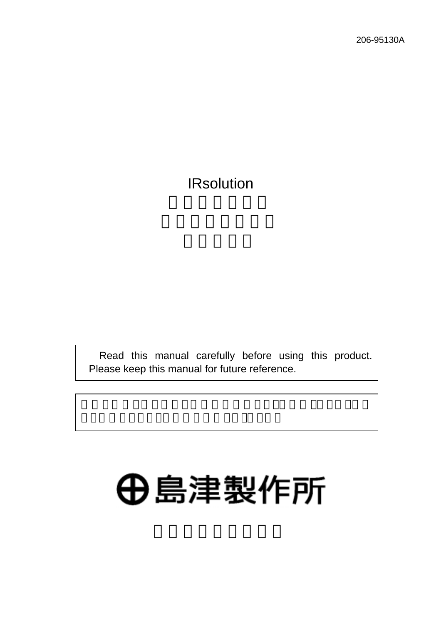206-95130A

### **IRsolution**

Read this manual carefully before using this product. Please keep this manual for future reference.

# ⊕島津製作所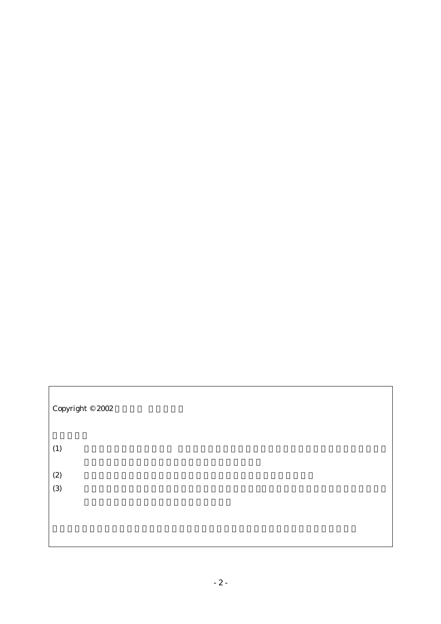# Copyright  $© 2002$  $(1)$  $(2)$  $(3)$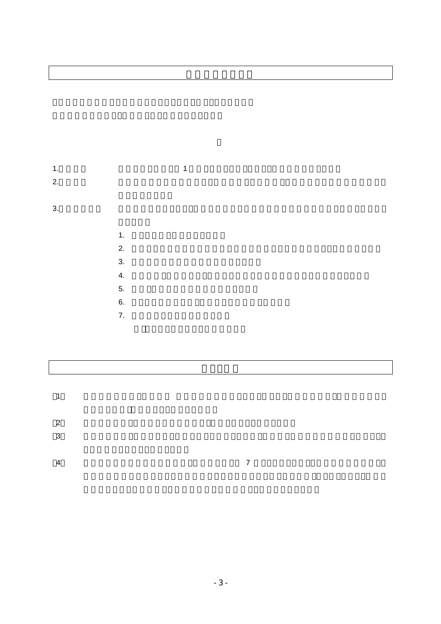## 1.  $R = \frac{1}{\pi}$ 1  $\blacksquare$ 2.  $R$  $3.$ 1.  $z = \frac{1}{2}$  $2.$

 $3.$  $4.$  $5.$  $6.$  $7.$ 

| っ<br>ے |  |  |  |
|--------|--|--|--|
| ว<br>╰ |  |  |  |

 $4$  $7$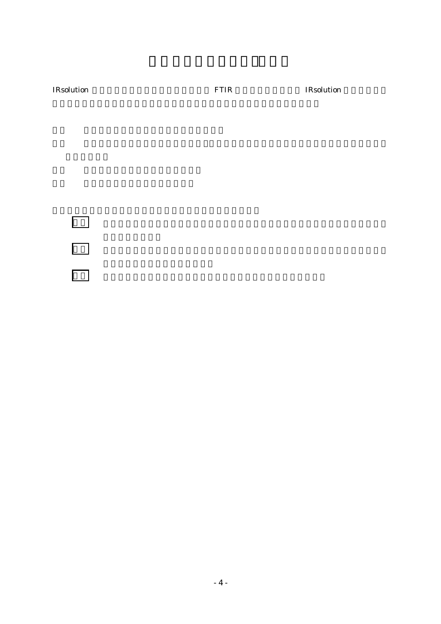$\begin{minipage}[c]{0.7\linewidth} \textbf{IRsolution} \end{minipage} \begin{minipage}[c]{0.7\linewidth} \textbf{IF} \end{minipage} \begin{minipage}[c]{0.7\linewidth} \textbf{IF} \end{minipage} \begin{minipage}[c]{0.7\linewidth} \textbf{IF} \end{minipage} \begin{minipage}[c]{0.7\linewidth} \textbf{IF} \end{minipage} \begin{minipage}[c]{0.7\linewidth} \textbf{IF} \end{minipage} \begin{minipage}[c]{0.7\linewidth} \textbf{IF} \end{minipage} \begin{minipage}[c]{0.7\linewidth} \textbf{IF} \$ 

警告 その事象を避けなければ、死亡、重傷、または中程度の傷害を負う可能性のある場合 注意 その事象を避けなければ、軽度の傷害を負う可能性のある場合、および物的傷害の可 注記 作業能率をよくしたり、記事の理解を助ける場合に用いています。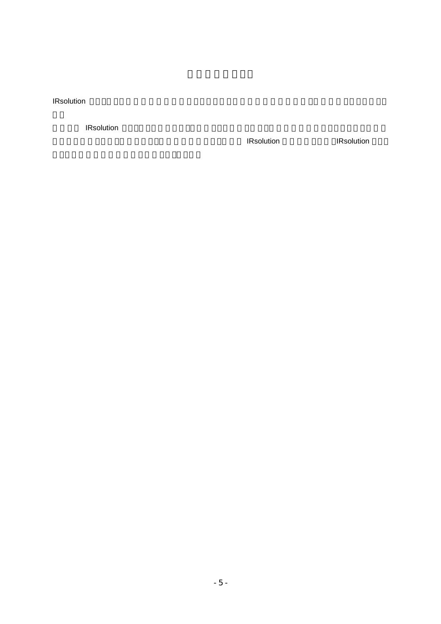**IRsolution** 

**IRsolution** 

IRsolution IRsolution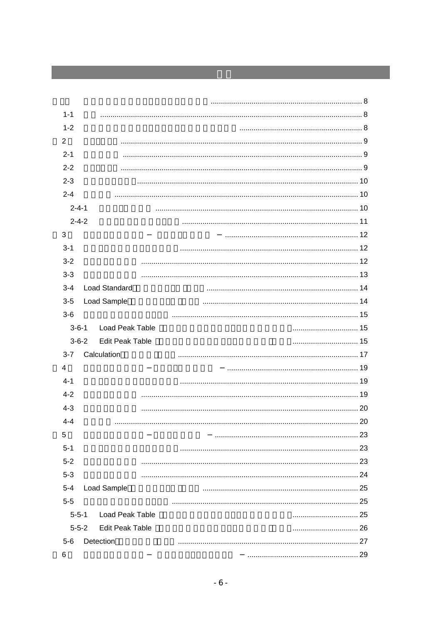| $1 - 1$     |             |                        |    |
|-------------|-------------|------------------------|----|
| $1 - 2$     |             |                        |    |
| 2           |             |                        |    |
| $2 - 1$     |             |                        |    |
| $2 - 2$     |             |                        |    |
| $2 - 3$     |             |                        |    |
| $2 - 4$     |             |                        |    |
| $2 - 4 - 1$ |             |                        |    |
|             | $2 - 4 - 2$ |                        |    |
| 3           |             |                        |    |
| $3 - 1$     |             |                        |    |
| $3 - 2$     |             |                        |    |
| $3-3$       |             |                        |    |
| $3 - 4$     |             | Load Standard          |    |
| $3-5$       |             | Load Sample            |    |
| $3-6$       |             |                        |    |
| $3 - 6 - 1$ |             | <b>Load Peak Table</b> |    |
|             | $3 - 6 - 2$ | <b>Edit Peak Table</b> |    |
| $3 - 7$     |             | Calculation            |    |
| 4           |             |                        |    |
| $4 - 1$     |             |                        |    |
| $4 - 2$     |             |                        |    |
| $4 - 3$     |             |                        |    |
| $4 - 4$     |             |                        |    |
| 5           |             |                        |    |
| $5 - 1$     |             |                        |    |
| $5 - 2$     |             |                        |    |
| $5 - 3$     |             |                        |    |
| $5 - 4$     |             | Load Sample            |    |
| $5-5$       |             |                        |    |
| $5 - 5 - 1$ |             | <b>Load Peak Table</b> |    |
|             | $5 - 5 - 2$ | Edit Peak Table        | 26 |
| $5-6$       |             | Detection              |    |
| 6           |             |                        |    |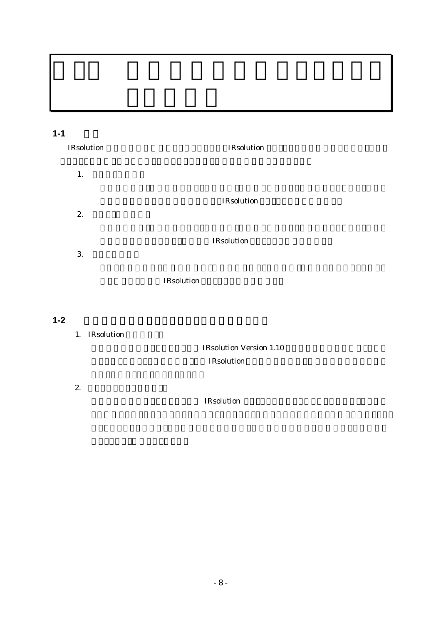### $1 - 1$

| IRsolution | IRsolution |  |
|------------|------------|--|
| 1.         |            |  |
| 2.         | IRsolution |  |
| 3.         | IRsolution |  |
|            | IRsolution |  |

### **1-2** 日本薬局方対応マクロプログラムが動作する環境

1. IRsolution IRsolution Version 1.10 **IRsolution** 

 $2.$ 

IRsolution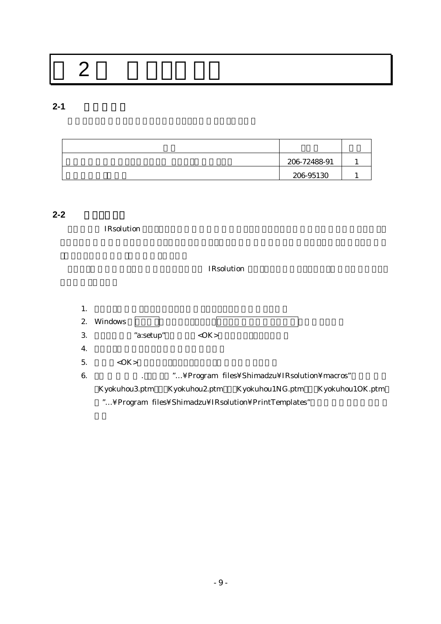## 2 セットアップ

### **2-1** 員数の確認

| 206-72488-91 |  |
|--------------|--|
| 206-95130    |  |

### **2-2** セットアップ

IRsolution

### IRsolution

 $1.$ 2. Windows 3.  $"a:setup"$  <OK>  $4.$ 5.  $\langle OK \rangle$ 6. The state of the state of the state of the state of the state of the state of the state of the state of the state of the state of the state of the state of the state of the state of the state of the state of the state o Kyokuhou3.ptm Kyokuhou2.ptm Kyokuhou1NG.ptm Kyokuhou1OK.ptm "...¥Program files¥Shimadzu¥IRsolution¥PrintTemplates"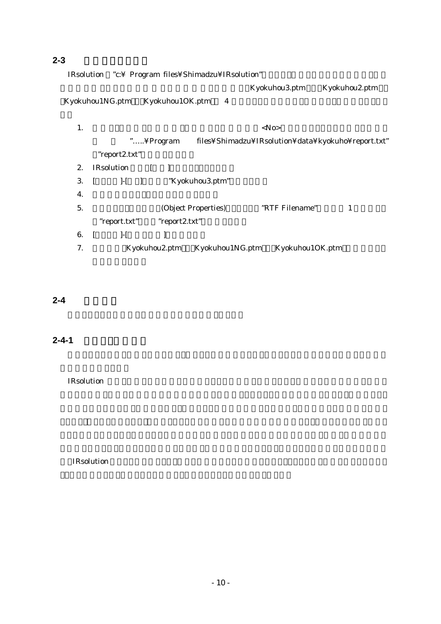**2-3** 印刷テンプレート

IRsolution "c:¥ Program files¥Shimadzu¥IRsolution" Kyokuhou3.ptm Kyokuhou2.ptm Kyokuhou1NG.ptm Kyokuhou1OK.ptm 4

1.  $<$ No> り 、 "…..¥Program files¥Shimadzu¥IRsolution¥data¥kyokuho¥report.txt" "report2.txt" 2. IRsolution [ ] 3. [ ]-[ ] "Kyokuhou3.ptm"  $4.$ 5. the object Properties) Terms and Terms and Terms and Terms and Terms and 2 terms and 2 terms and 2 terms and  $\sim$  1 "report.txt" report2.txt" 6.  $\begin{bmatrix} 1 & 1 \\ 0 & 1 \end{bmatrix}$ 7. Kyokuhou2.ptm Kyokuhou1NG.ptm Kyokuhou1OK.ptm

### **2-4** 注意事項

**2-4-1** 

**IRsolution** 

**IRsolution**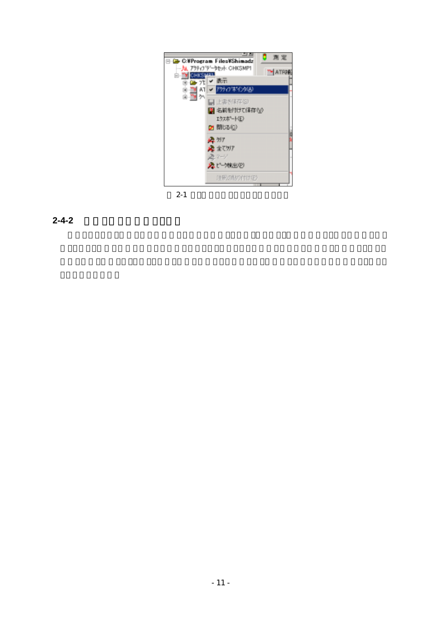



### **2-4-2** 印刷される測定パラメータ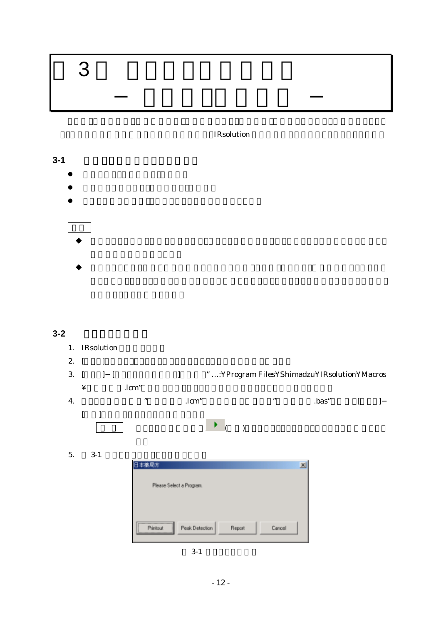### **IRsolution**



### **3-2** プログラムの開始

- 1. IRsolution
- 2.  $[$   $]$
- 3. [ ] [ ] T ] T ] [  $\ldots$ :¥Program Files¥Shimadzu¥IRsolution¥Macros ¥日本薬局方.lcm"を選択します。マクロツールバーにプログラムが表示されます。
- 4. " Icm" .lcm" .bas" [ ]  $\begin{bmatrix} \cdot & \cdot \end{bmatrix}$ 注 記マクロツールバー上の (実行)ボタンをクリックしても、プログラムは起動しませ
- $5. \t3-1$ 日本薬局方 × Please Select a Program. Printout Peak Detection Report Cancel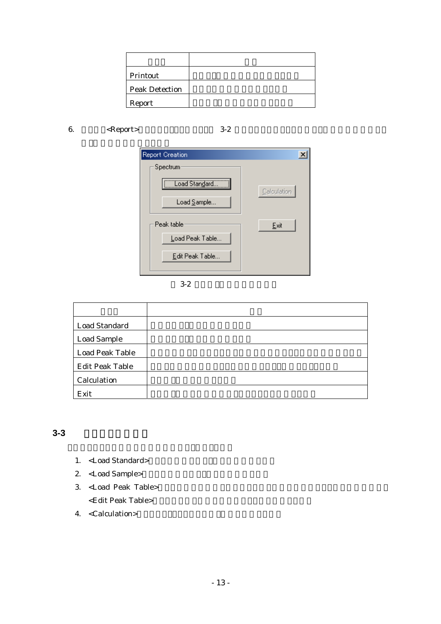| Printout              |  |
|-----------------------|--|
| <b>Peak Detection</b> |  |
| Report                |  |

### $6.$   $\leq$  Report>  $3-2$

| <b>Report Creation</b> | ×           |
|------------------------|-------------|
| Spectrum               |             |
| Load Standard.         | Calculation |
| Load Sample            |             |
| Peak table             | Exit        |
| Load Peak Table        |             |
| Edit Peak Table        |             |

 $3 - 2$ 

| <b>Load Standard</b>   |  |
|------------------------|--|
| <b>Load Sample</b>     |  |
| <b>Load Peak Table</b> |  |
| <b>Edit Peak Table</b> |  |
| Calculation            |  |
| Exit                   |  |

### **3-3** プログラムの流れ

- 1. <Load Standard>
- 2. <Load Sample>
- 3. <Load Peak Table> <Edit Peak Table>
- 4. <Calculation>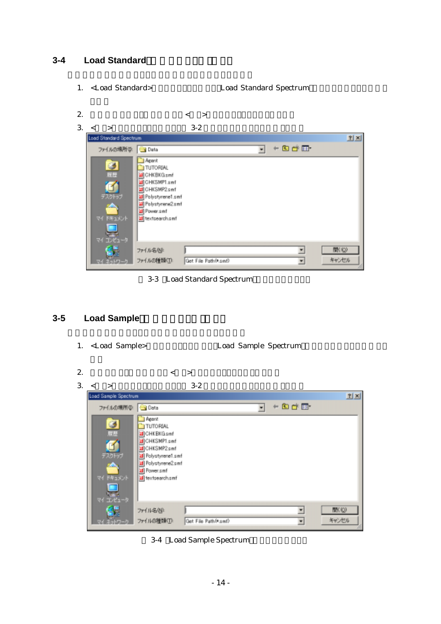### **3-4** Load Standard

1. <Load Standard>
I. <Load Standard>
I. coad Standard Spectrum



3-3 Load Standard Spectrum

### 3-5 Load Sample

- 1. <Load Sample>
Ioad Sample>
Ioad Sample Spectrum
- 



3-4 Load Sample Spectrum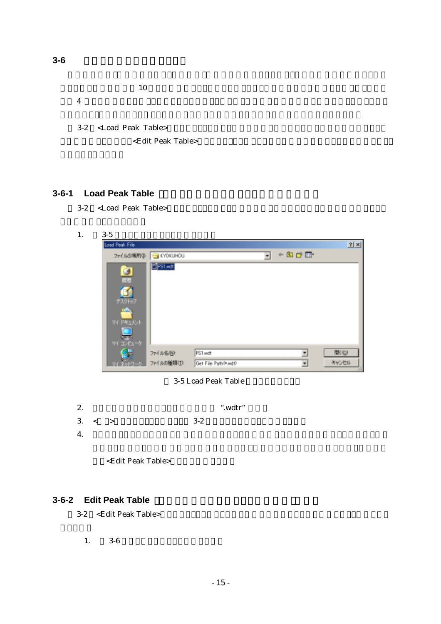$\overline{10}$ 

 $\bf{4}$ 

```
3-2 <Load Peak Table>
```
<Edit Peak Table>

### **3-6-1** Load Peak Table

- 3-2 <Load Peak Table>
- 



3-5 Load Peak Table



<Edit Peak Table>

### **3-6-2 Edit Peak Table**

3-2 <Edit Peak Table>

 $1. 3-6$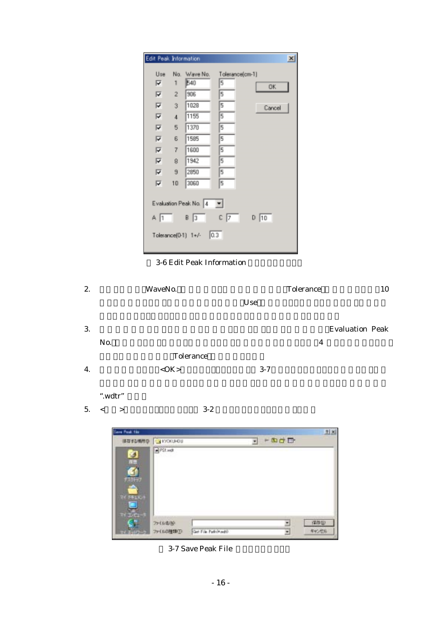| Edit Peak Information |                |                                               |                           | $\mathbf{x}$ |
|-----------------------|----------------|-----------------------------------------------|---------------------------|--------------|
| Use                   |                | No. Wave No.                                  | Tolerance(cm-1)           |              |
| ⊽                     | 1              | 540                                           | 5<br><b>DK</b>            |              |
| ⊽                     | 2              | 906                                           | 5                         |              |
| ☞                     | $\bar{3}$      | 1028                                          | 5<br>Cancel               |              |
| ⊽                     | $\overline{4}$ | 1155                                          | 5                         |              |
| ⊽                     | 5              | 1370                                          | 5                         |              |
| ⊽                     | 6              | 1585                                          | 5                         |              |
| ☞                     | $\overline{t}$ | 1600                                          | 5                         |              |
| ⊽                     | 8              | 1942                                          | 5                         |              |
| ⊽                     | 9              | 2850                                          | 5                         |              |
| ஈ                     | 10             | 3060                                          | 5                         |              |
| A 1                   |                | Evaluation Peak No. 4<br>$B \left  3 \right $ | $C$ $\boxed{7}$<br>$D$ 10 |              |
|                       |                | Tolerance(0-1) 1+/- 0.3                       |                           |              |



| 2. |     | WaveNo.    |         | Tolerance | 10                     |
|----|-----|------------|---------|-----------|------------------------|
|    |     |            | Use     |           |                        |
|    |     |            |         |           |                        |
| 3. |     |            |         |           | <b>Evaluation Peak</b> |
|    | No. |            |         | 4         |                        |
|    |     | Tolerance  |         |           |                        |
| 4. |     | $<$ OK $>$ | $3 - 7$ |           |                        |
|    |     |            |         |           |                        |

".wd $tr$ "

 $5. \, < \, > \, 3-2$ 



3-7 Save Peak File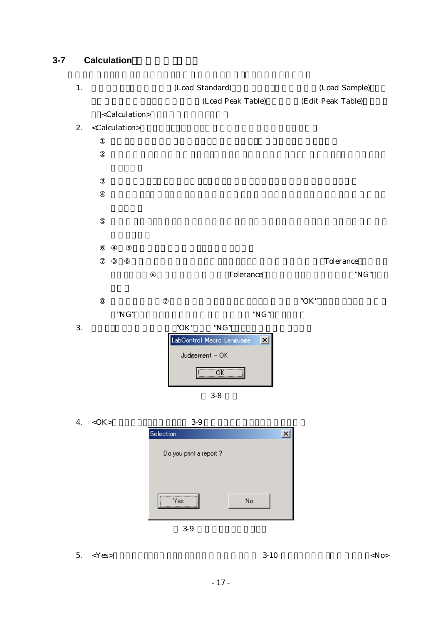### **3-7** Calculation

| (Load Standard)   | (Load Sample)     |
|-------------------|-------------------|
| (Load Peak Table) | (Edit Peak Table) |
|                   |                   |

<Calculation>

2. <Calculation>

**Tolerance** 

**Tolerance "NG"** 

 $\rm{^{\rm{^{\prime\prime}OK}}}$ 





5.  $\langle Yes\rangle$  3-10  $\langle No\rangle$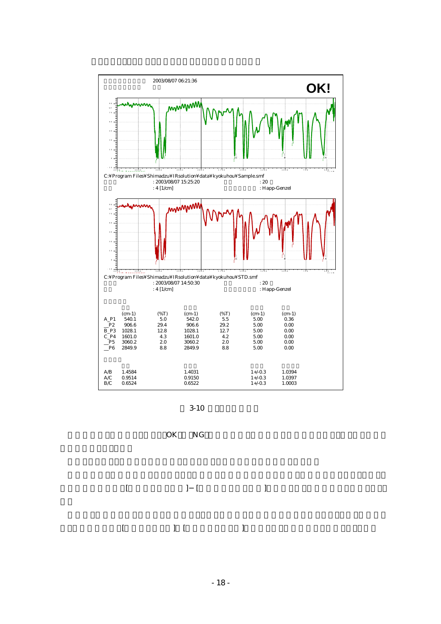

 $3-10$ 

 $\rm OK$  and  $\rm NG$ 

 $[$ 

 $[ \qquad \qquad ] \ \ [ \qquad \qquad ] \ \ [ \qquad \qquad \qquad ]$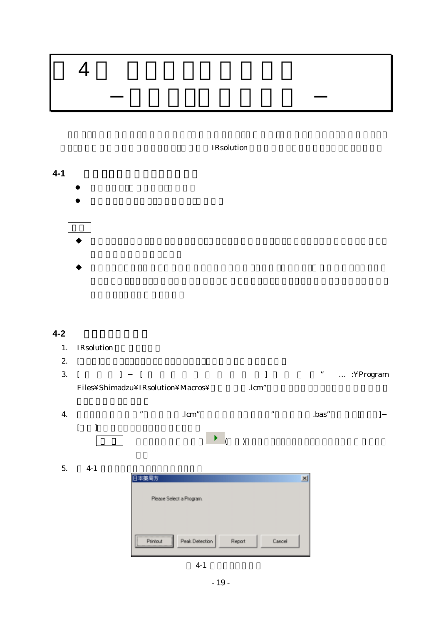### IRsolution



### **4-2** プログラムの開始

- 1. IRsolution
- 2.  $[$   $]$
- 3. [  $\Box$  [  $\Box$  ]  $\Box$   $\Box$  :¥Program Files¥Shimadzu¥IRsolution¥Macros¥ lcm"

| 4. |       | $, \,$<br>. $lcm"$         | $, 9$            | .bas"        |  |
|----|-------|----------------------------|------------------|--------------|--|
|    |       | $\rightarrow$ (            |                  |              |  |
| 5. | $4-1$ | 日本薬局方                      |                  | $\mathbf{x}$ |  |
|    |       | Please Select a Program.   |                  |              |  |
|    |       | Printout<br>Peak Detection | Report<br>Cancel |              |  |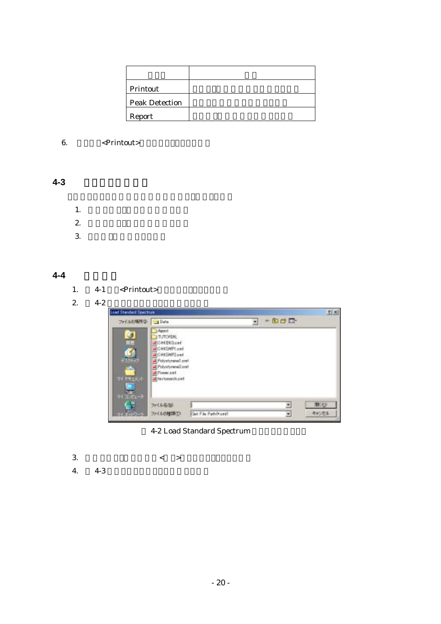| Printout              |  |
|-----------------------|--|
| <b>Peak Detection</b> |  |
| Report                |  |

### 6. そこで、<Printout>ボタンをクリックします。

### **4-3** プログラムの流れ

- 1.  $\blacksquare$
- $2.$
- $3.$

### **4-4** 操作方法

- 1.  $4-1$  <Printout>
- 



- 4-2 Load Standard Spectrum
- $3. \hspace{20pt} \langle \hspace{20pt} \rangle$
- $4. \t 4-3$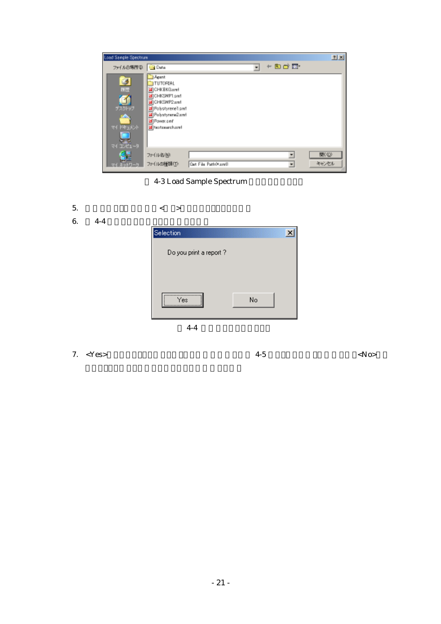| Load Sample Spectrum                                  |                                                                                                                                                                            |                     |          | 图图                     |
|-------------------------------------------------------|----------------------------------------------------------------------------------------------------------------------------------------------------------------------------|---------------------|----------|------------------------|
| ファイルの場所(D.   G) Data                                  |                                                                                                                                                                            |                     | $+$ Bo B |                        |
| 톂<br>Ø<br>プスクトップ<br>œ<br>マイドキュメント<br><b>R4 IDE1-9</b> | <b>JAgent</b><br><b>TUTORIAL</b><br>E CHKBKGarri<br>LI CHICSMPT.smf<br>E CHICSMP2.amH<br>Folystyrene1.sml<br>B Polyatyrene2amt<br><b>El Power.cent</b><br>El textamenthami |                     |          |                        |
| 학생 승규님과는 한                                            | ファリレ名度に<br>ファイルの種類(I):                                                                                                                                                     | Get File Path/KareD | ▾        | <b>BBK OD</b><br>キャンセル |

4-3 Load Sample Spectrum

 $5. \hspace{2.5cm} < \hspace{2.5cm} >$ 6.  $4-4$ Selection Do you print a report ?  $\overline{Y}$ es N<sub>o</sub>



7.  $\langle Yes \rangle$  4-5  $\langle No \rangle$ 



 $\mathbf{x}$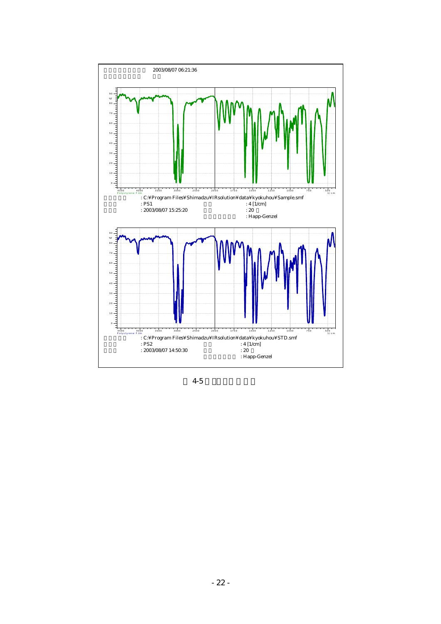

 $4 - 5$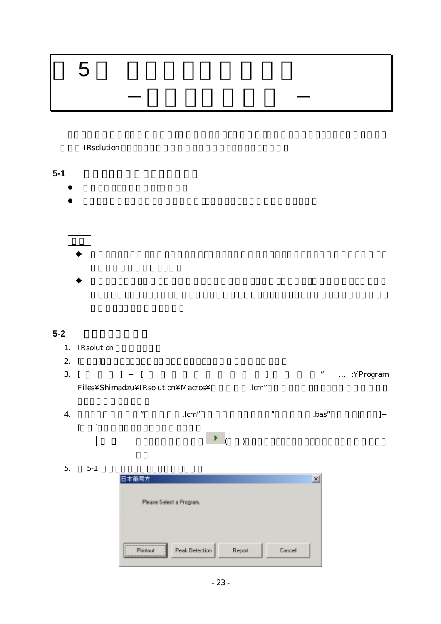## $5$

### **IRsolution**

### **5-1** 用意しなければならないデータ

- $\bullet$
- $\bullet$
- $\blacklozenge$ 
	- $\blacklozenge$

### **5-2** プログラムの開始

- 1. IRsolution
- 2. [ ]
- 3. [  $\Box$  ] [  $\Box$  ]  $\Box$   $\Box$  :¥Program Files¥Shimadzu¥IRsolution¥Macros¥.lcm"

| $\boldsymbol{4}$ . |         | $\boldsymbol{\mathsf{y}}$ | . $lcm"$                 |        | ,,     | .bas"        |  |  |
|--------------------|---------|---------------------------|--------------------------|--------|--------|--------------|--|--|
|                    |         |                           | $\rightarrow$ (          |        |        |              |  |  |
| 5.                 | $5 - 1$ |                           |                          |        |        |              |  |  |
|                    |         | 日本薬局方                     |                          |        |        | $\mathbf{x}$ |  |  |
|                    |         |                           | Please Select a Program. |        |        |              |  |  |
|                    |         | ---------<br>Printout     | Peak Detection           | Report | Cancel |              |  |  |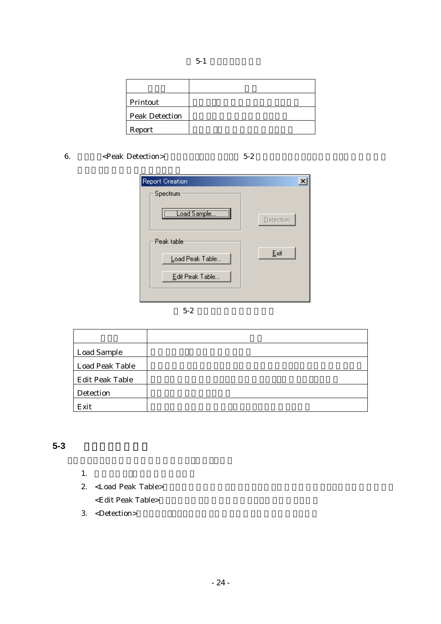| Printout              |  |
|-----------------------|--|
| <b>Peak Detection</b> |  |
| Report                |  |
|                       |  |

6.  $\leq$ Peak Detection> 5-2

| <b>Report Creation</b> |           |
|------------------------|-----------|
| Spectrum               |           |
| Load Sample.           | Detection |
| Peak table             |           |
| Load Peak Table        | Exit      |
| Edit Peak Table        |           |
|                        |           |

 $5 - 2$ 

| <b>Load Sample</b>     |  |
|------------------------|--|
| <b>Load Peak Table</b> |  |
| <b>Edit Peak Table</b> |  |
| Detection              |  |
| Exit                   |  |

### **5-3** プログラムの流れ

- 1.  $\blacksquare$
- 2. <Load Peak Table> <Edit Peak Table>
- 3. <Detection>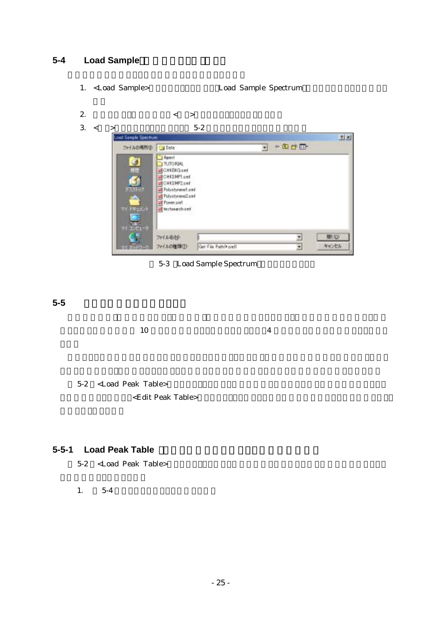### 5-4 Load Sample

- 1. <Load Sample>
Kanad Sample>
In Albara Load Sample Spectrum
- 2.  $\lt$   $>$  $3. <$   $> 5-2$ T x Load Sample S  $\frac{1}{2}$  - 0 d d d + ファイルの場所の 3Data **T** Apart<br>TUTORIAL 3 TUTORIAL<br>MCHESMPIser<br>MCHESMPIser<br>MCHESMPIser<br>MCHESMPIser<br>MCHESMPISER<br>MCHESMPISER<br>MCHESMPISER **RK OP 274 X-800** z ファイルの推理につ Oet File Path/FareD ⊒ キャンセル
	- 5-3 Load Sample Spectrum

**5-5** ピーク波数テーブルファイル

 $10 \t 4$ 

5-2 <Load Peak Table>

<Edit Peak Table>

### 5-5-1 Load Peak Table

5-2 <Load Peak Table>

 $1. 5-4$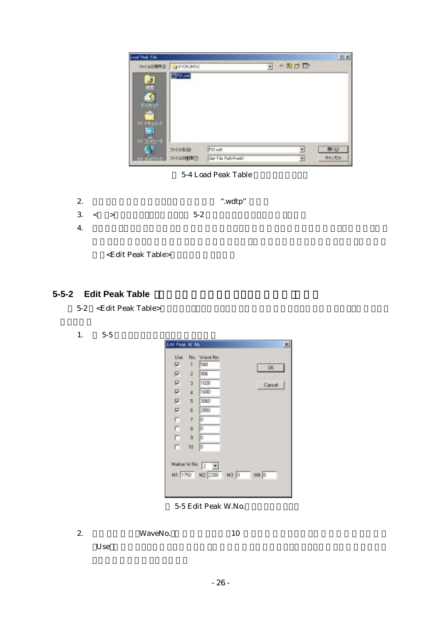| Load Foat File                                     |                      |                    |   |      | 치체   |
|----------------------------------------------------|----------------------|--------------------|---|------|------|
|                                                    | ファイルの電所(P) 3KYOKUHOU |                    | 뒥 | 一面白面 |      |
| $\frac{3}{11}$<br>テスカナップ<br>TY HRSDA<br>$+124 - 1$ | Election             |                    |   |      |      |
| E.                                                 | ファイル名号               | PS1.wdt            |   |      | 開设   |
| H Religion                                         | ファイルの種類(T)           | Cat File Path Post |   |      | 有化也补 |

5-4 Load Peak Table



<Edit Peak Table>

### 5-5-2 Edit Peak Table

- 5-2 <Edit Peak Table>
- $1. 5-5$

| Edit Peak W. No. |                 |                 |                  | ×                 |
|------------------|-----------------|-----------------|------------------|-------------------|
|                  |                 |                 |                  |                   |
| Use              | No.             | Wave No.        |                  |                   |
| ஈ                | 1               | 540             |                  | DK                |
| ஈ                | 2               | 906             |                  |                   |
| ⊽                | 3               | 1028            |                  | Cancel            |
| ₽                | ¢.              | 1600            |                  |                   |
| ₽                | $5\overline{a}$ | 3060            |                  |                   |
| ⊽                | 6               | 2650            |                  |                   |
| □                | 7               | o               |                  |                   |
| п                | Ø.              | Б               |                  |                   |
| п                | 9               | ╔               |                  |                   |
| п                | 10              | Г               |                  |                   |
|                  |                 |                 |                  |                   |
| Marker W.No. 2   |                 | $\blacksquare$  |                  |                   |
|                  |                 |                 |                  |                   |
|                  |                 | M1 1750 M2 2200 | $M3$ $\boxed{0}$ | $M4$ <sup>0</sup> |
|                  |                 |                 |                  |                   |
|                  |                 |                 |                  |                   |

5-5 Edit Peak W.No.

2. WaveNo. 10

 $\bf{Use}$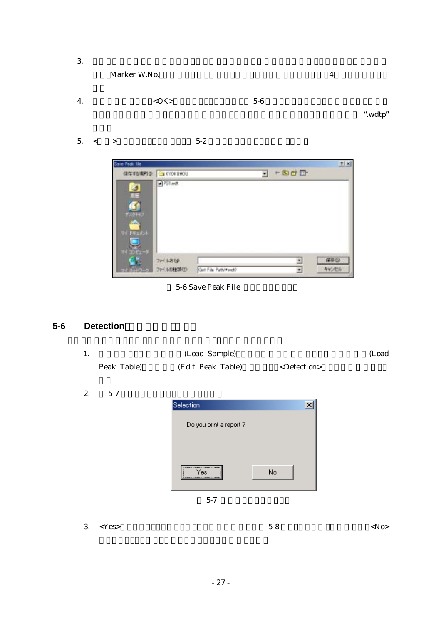$3.$ Marker W.No. 2010 20:00 12:00 12:00 12:00 12:00 12:00 12:00 12:00 12:00 12:00 12:00 12:00 12:00 12:00 12:00 12:00 12:00 12:00 12:00 12:00 12:00 12:00 12:00 12:00 12:00 12:00 12:00 12:00 12:00 12:00 12:00 12:00 12:00 12:00  $4.$   $\leq$ OK $>$   $5-6$ 

 $\degree$ .wdtp"

 $5. <$   $>$   $5-2$ 



5-6 Save Peak File

### 5-6 Detection

| 1. |             | (Load Sample)     |                         | (Load) |  |
|----|-------------|-------------------|-------------------------|--------|--|
|    | Peak Table) | (Edit Peak Table) | <detection></detection> |        |  |

 $2. 5-7$ 



 $5-7$ 

3.  $\langle Yes\rangle$  5-8  $\langle No\rangle$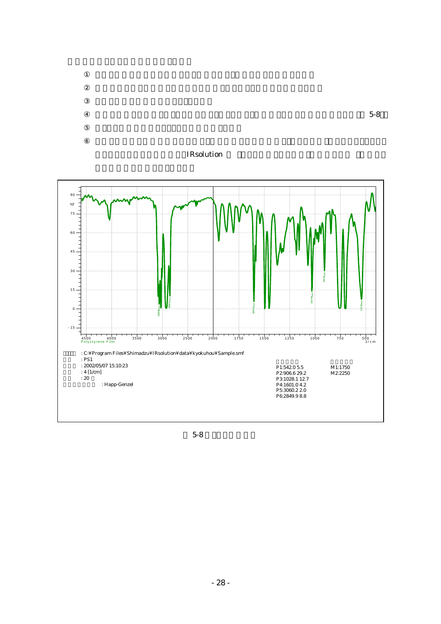#### **IRsolution**



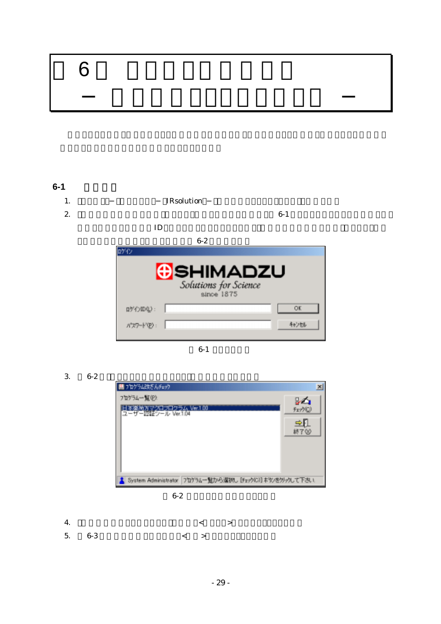## 6  $\sigma$

### **6-1** 操作方法